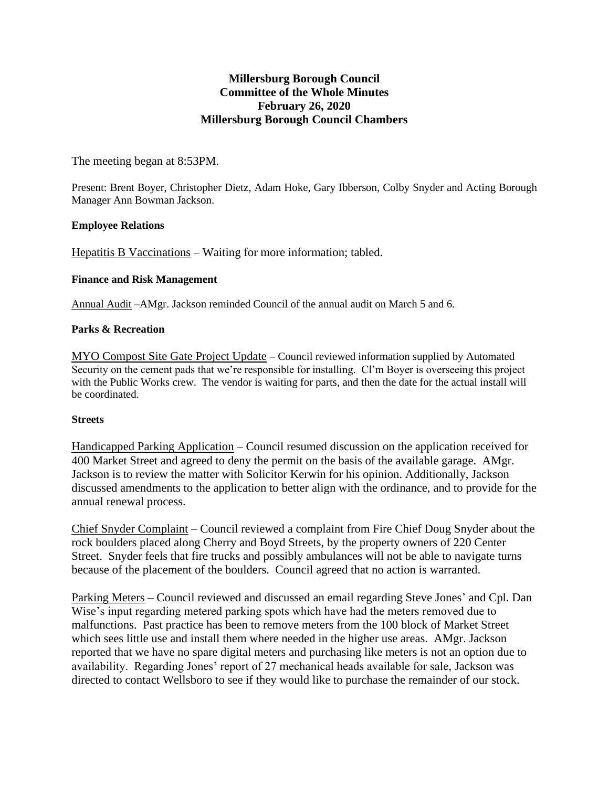# **Millersburg Borough Council Committee of the Whole Minutes February 26, 2020 Millersburg Borough Council Chambers**

The meeting began at 8:53PM.

Present: Brent Boyer, Christopher Dietz, Adam Hoke, Gary Ibberson, Colby Snyder and Acting Borough Manager Ann Bowman Jackson.

### **Employee Relations**

Hepatitis B Vaccinations – Waiting for more information; tabled.

## **Finance and Risk Management**

Annual Audit –AMgr. Jackson reminded Council of the annual audit on March 5 and 6.

## **Parks & Recreation**

MYO Compost Site Gate Project Update – Council reviewed information supplied by Automated Security on the cement pads that we're responsible for installing. Cl'm Boyer is overseeing this project with the Public Works crew. The vendor is waiting for parts, and then the date for the actual install will be coordinated.

### **Streets**

Handicapped Parking Application – Council resumed discussion on the application received for 400 Market Street and agreed to deny the permit on the basis of the available garage. AMgr. Jackson is to review the matter with Solicitor Kerwin for his opinion. Additionally, Jackson discussed amendments to the application to better align with the ordinance, and to provide for the annual renewal process.

Chief Snyder Complaint – Council reviewed a complaint from Fire Chief Doug Snyder about the rock boulders placed along Cherry and Boyd Streets, by the property owners of 220 Center Street. Snyder feels that fire trucks and possibly ambulances will not be able to navigate turns because of the placement of the boulders. Council agreed that no action is warranted.

Parking Meters – Council reviewed and discussed an email regarding Steve Jones' and Cpl. Dan Wise's input regarding metered parking spots which have had the meters removed due to malfunctions. Past practice has been to remove meters from the 100 block of Market Street which sees little use and install them where needed in the higher use areas. AMgr. Jackson reported that we have no spare digital meters and purchasing like meters is not an option due to availability. Regarding Jones' report of 27 mechanical heads available for sale, Jackson was directed to contact Wellsboro to see if they would like to purchase the remainder of our stock.